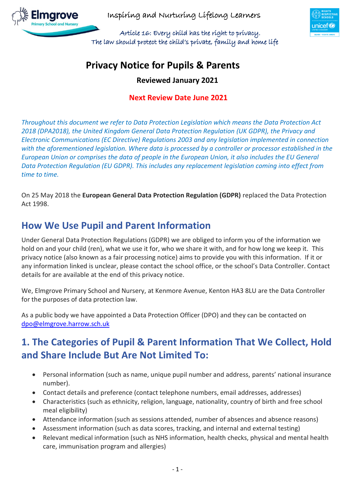

 Article 16: Every child has the right to privacy. The law should protect the child's private, family and home life



# **Privacy Notice for Pupils & Parents**

**Reviewed January 2021**

### **Next Review Date June 2021**

*Throughout this document we refer to Data Protection Legislation which means the Data Protection Act 2018 (DPA2018), the United Kingdom General Data Protection Regulation (UK GDPR), the Privacy and Electronic Communications (EC Directive) Regulations 2003 and any legislation implemented in connection with the aforementioned legislation. Where data is processed by a controller or processor established in the European Union or comprises the data of people in the European Union, it also includes the EU General Data Protection Regulation (EU GDPR). This includes any replacement legislation coming into effect from time to time.*

On 25 May 2018 the **European General Data Protection Regulation (GDPR)** replaced the Data Protection Act 1998.

## **How We Use Pupil and Parent Information**

Under General Data Protection Regulations (GDPR) we are obliged to inform you of the information we hold on and your child (ren), what we use it for, who we share it with, and for how long we keep it. This privacy notice (also known as a fair processing notice) aims to provide you with this information. If it or any information linked is unclear, please contact the school office, or the school's Data Controller. Contact details for are available at the end of this privacy notice.

We, Elmgrove Primary School and Nursery, at Kenmore Avenue, Kenton HA3 8LU are the Data Controller for the purposes of data protection law.

As a public body we have appointed a Data Protection Officer (DPO) and they can be contacted on [dpo@elmgrove.harrow.sch.uk](mailto:dpo@elmgrove.harrow.sch.uk)

# **1. The Categories of Pupil & Parent Information That We Collect, Hold and Share Include But Are Not Limited To:**

- Personal information (such as name, unique pupil number and address, parents' national insurance number).
- Contact details and preference (contact telephone numbers, email addresses, addresses)
- Characteristics (such as ethnicity, religion, language, nationality, country of birth and free school meal eligibility)
- Attendance information (such as sessions attended, number of absences and absence reasons)
- Assessment information (such as data scores, tracking, and internal and external testing)
- Relevant medical information (such as NHS information, health checks, physical and mental health care, immunisation program and allergies)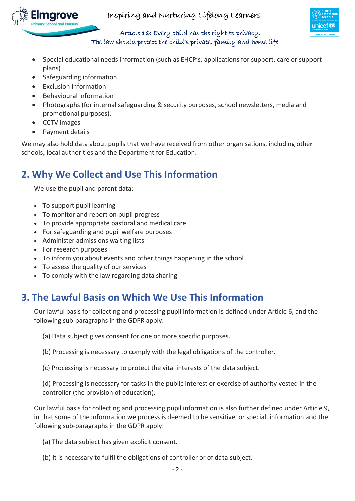



#### Article 16: Every child has the right to privacy. The law should protect the child's private, family and home life

- Special educational needs information (such as EHCP's, applications for support, care or support plans)
- Safeguarding information
- Exclusion information
- Behavioural information
- Photographs (for internal safeguarding & security purposes, school newsletters, media and promotional purposes).
- CCTV images

maro

• Payment details

We may also hold data about pupils that we have received from other organisations, including other schools, local authorities and the Department for Education.

# **2. Why We Collect and Use This Information**

We use the pupil and parent data:

- To support pupil learning
- To monitor and report on pupil progress
- To provide appropriate pastoral and medical care
- For safeguarding and pupil welfare purposes
- Administer admissions waiting lists
- For research purposes
- To inform you about events and other things happening in the school
- To assess the quality of our services
- To comply with the law regarding data sharing

# **3. The Lawful Basis on Which We Use This Information**

Our lawful basis for collecting and processing pupil information is defined under Article 6, and the following sub-paragraphs in the GDPR apply:

- (a) Data subject gives consent for one or more specific purposes.
- (b) Processing is necessary to comply with the legal obligations of the controller.
- (c) Processing is necessary to protect the vital interests of the data subject.

(d) Processing is necessary for tasks in the public interest or exercise of authority vested in the controller (the provision of education).

Our lawful basis for collecting and processing pupil information is also further defined under Article 9, in that some of the information we process is deemed to be sensitive, or special, information and the following sub-paragraphs in the GDPR apply:

(a) The data subject has given explicit consent.

(b) It is necessary to fulfil the obligations of controller or of data subject.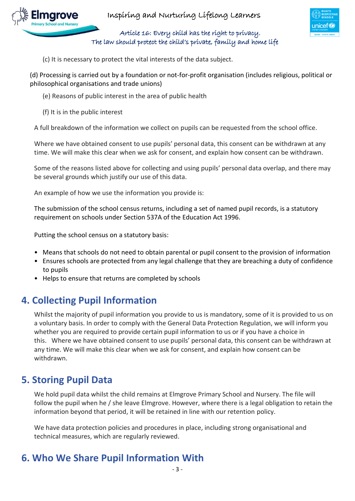



 Article 16: Every child has the right to privacy. The law should protect the child's private, family and home life

(c) It is necessary to protect the vital interests of the data subject.

(d) Processing is carried out by a foundation or not-for-profit organisation (includes religious, political or philosophical organisations and trade unions)

- (e) Reasons of public interest in the area of public health
- (f) It is in the public interest

A full breakdown of the information we collect on pupils can be requested from the school office.

Where we have obtained consent to use pupils' personal data, this consent can be withdrawn at any time. We will make this clear when we ask for consent, and explain how consent can be withdrawn.

Some of the reasons listed above for collecting and using pupils' personal data overlap, and there may be several grounds which justify our use of this data.

An example of how we use the information you provide is:

The submission of the school census returns, including a set of named pupil records, is a statutory requirement on schools under Section 537A of the Education Act 1996.

Putting the school census on a statutory basis:

- Means that schools do not need to obtain parental or pupil consent to the provision of information
- Ensures schools are protected from any legal challenge that they are breaching a duty of confidence to pupils
- Helps to ensure that returns are completed by schools

# **4. Collecting Pupil Information**

Whilst the majority of pupil information you provide to us is mandatory, some of it is provided to us on a voluntary basis. In order to comply with the General Data Protection Regulation, we will inform you whether you are required to provide certain pupil information to us or if you have a choice in this. Where we have obtained consent to use pupils' personal data, this consent can be withdrawn at any time. We will make this clear when we ask for consent, and explain how consent can be withdrawn.

## **5. Storing Pupil Data**

We hold pupil data whilst the child remains at Elmgrove Primary School and Nursery. The file will follow the pupil when he / she leave Elmgrove. However, where there is a legal obligation to retain the information beyond that period, it will be retained in line with our retention policy.

We have data protection policies and procedures in place, including strong organisational and technical measures, which are regularly reviewed.

## **6. Who We Share Pupil Information With**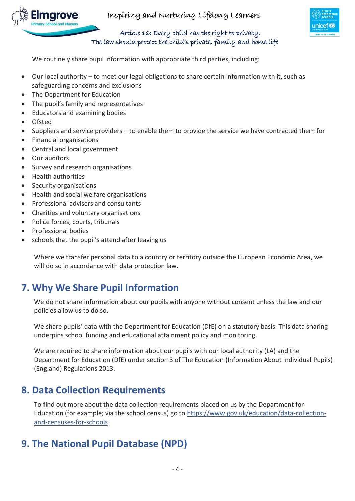



#### Article 16: Every child has the right to privacy. The law should protect the child's private, family and home life

We routinely share pupil information with appropriate third parties, including:

- Our local authority to meet our legal obligations to share certain information with it, such as safeguarding concerns and exclusions
- The Department for Education
- The pupil's family and representatives
- Educators and examining bodies
- Ofsted
- Suppliers and service providers to enable them to provide the service we have contracted them for
- Financial organisations
- Central and local government
- Our auditors
- Survey and research organisations
- Health authorities
- Security organisations
- Health and social welfare organisations
- Professional advisers and consultants
- Charities and voluntary organisations
- Police forces, courts, tribunals
- Professional bodies
- schools that the pupil's attend after leaving us

Where we transfer personal data to a country or territory outside the European Economic Area, we will do so in accordance with data protection law.

## **7. Why We Share Pupil Information**

We do not share information about our pupils with anyone without consent unless the law and our policies allow us to do so.

We share pupils' data with the Department for Education (DfE) on a statutory basis. This data sharing underpins school funding and educational attainment policy and monitoring.

We are required to share information about our pupils with our local authority (LA) and the Department for Education (DfE) under section 3 of The Education (Information About Individual Pupils) (England) Regulations 2013.

## **8. Data Collection Requirements**

To find out more about the data collection requirements placed on us by the Department for Education (for example; via the school census) go to [https://www.gov.uk/education/data-collection](https://www.gov.uk/education/data-collection-and-censuses-for-schools)[and-censuses-for-schools](https://www.gov.uk/education/data-collection-and-censuses-for-schools)

## **9. The National Pupil Database (NPD)**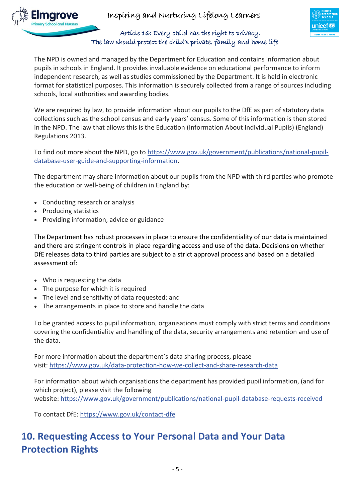



#### Article 16: Every child has the right to privacy. The law should protect the child's private, family and home life

The NPD is owned and managed by the Department for Education and contains information about pupils in schools in England. It provides invaluable evidence on educational performance to inform independent research, as well as studies commissioned by the Department. It is held in electronic format for statistical purposes. This information is securely collected from a range of sources including schools, local authorities and awarding bodies.

We are required by law, to provide information about our pupils to the DfE as part of statutory data collections such as the school census and early years' census. Some of this information is then stored in the NPD. The law that allows this is the Education (Information About Individual Pupils) (England) Regulations 2013.

To find out more about the NPD, go to [https://www.gov.uk/government/publications/national-pupil](https://www.gov.uk/government/publications/national-pupil-database-user-guide-and-supporting-information)[database-user-guide-and-supporting-information.](https://www.gov.uk/government/publications/national-pupil-database-user-guide-and-supporting-information)

The department may share information about our pupils from the NPD with third parties who promote the education or well-being of children in England by:

- Conducting research or analysis
- Producing statistics
- Providing information, advice or guidance

The Department has robust processes in place to ensure the confidentiality of our data is maintained and there are stringent controls in place regarding access and use of the data. Decisions on whether DfE releases data to third parties are subject to a strict approval process and based on a detailed assessment of:

- Who is requesting the data
- The purpose for which it is required
- The level and sensitivity of data requested: and
- The arrangements in place to store and handle the data

To be granted access to pupil information, organisations must comply with strict terms and conditions covering the confidentiality and handling of the data, security arrangements and retention and use of the data.

For more information about the department's data sharing process, please visit: <https://www.gov.uk/data-protection-how-we-collect-and-share-research-data>

For information about which organisations the department has provided pupil information, (and for which project), please visit the following website: <https://www.gov.uk/government/publications/national-pupil-database-requests-received>

To contact DfE: <https://www.gov.uk/contact-dfe>

# **10. Requesting Access to Your Personal Data and Your Data Protection Rights**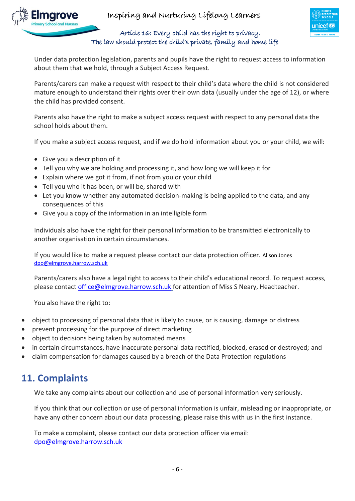





#### Article 16: Every child has the right to privacy. The law should protect the child's private, family and home life

Under data protection legislation, parents and pupils have the right to request access to information about them that we hold, through a Subject Access Request.

Parents/carers can make a request with respect to their child's data where the child is not considered mature enough to understand their rights over their own data (usually under the age of 12), or where the child has provided consent.

Parents also have the right to make a subject access request with respect to any personal data the school holds about them.

If you make a subject access request, and if we do hold information about you or your child, we will:

- Give you a description of it
- Tell you why we are holding and processing it, and how long we will keep it for
- Explain where we got it from, if not from you or your child
- Tell you who it has been, or will be, shared with
- Let you know whether any automated decision-making is being applied to the data, and any consequences of this
- Give you a copy of the information in an intelligible form

Individuals also have the right for their personal information to be transmitted electronically to another organisation in certain circumstances.

If you would like to make a request please contact our data protection officer. Alison Jones [dpo@elmgrove.harrow.sch.uk](mailto:dpo@elmgrove.harrow.sch.uk)

Parents/carers also have a legal right to access to their child's educational record. To request access, please contac[t office@elmgrove.harrow.sch.uk](mailto:office@elmgrove.harrow.sch.uk) for attention of Miss S Neary, Headteacher.

You also have the right to:

- object to processing of personal data that is likely to cause, or is causing, damage or distress
- prevent processing for the purpose of direct marketing
- object to decisions being taken by automated means
- in certain circumstances, have inaccurate personal data rectified, blocked, erased or destroyed; and
- claim compensation for damages caused by a breach of the Data Protection regulations

### **11. Complaints**

We take any complaints about our collection and use of personal information very seriously.

If you think that our collection or use of personal information is unfair, misleading or inappropriate, or have any other concern about our data processing, please raise this with us in the first instance.

To make a complaint, please contact our data protection officer via email: [dpo@elmgrove.harrow.sch.uk](mailto:dpo@elmgrove.harrow.sch.uk)